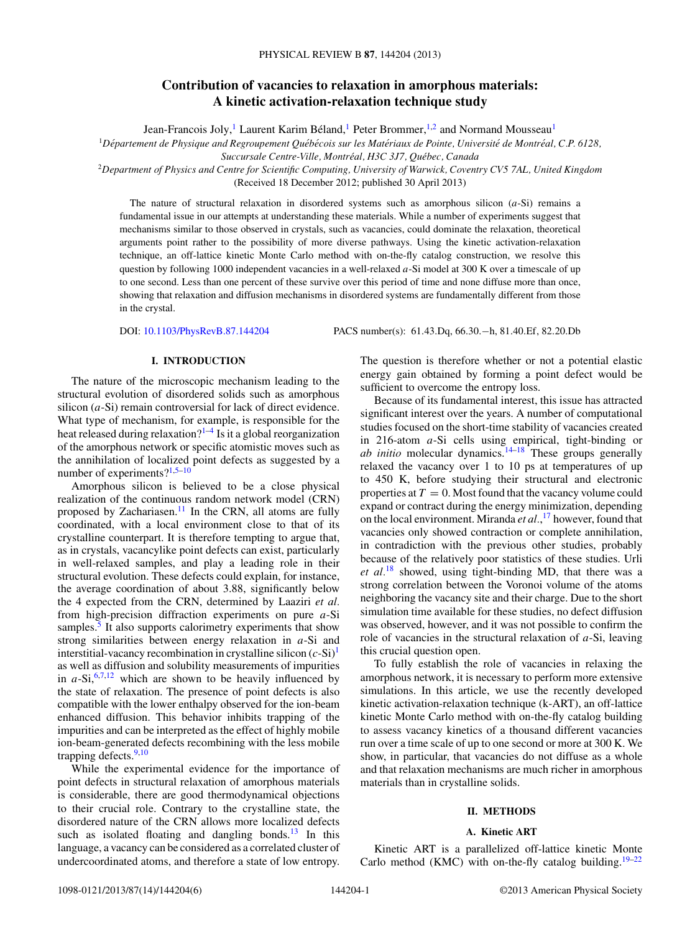# **Contribution of vacancies to relaxation in amorphous materials: A kinetic activation-relaxation technique study**

Jean-Francois Joly,<sup>1</sup> Laurent Karim Béland,<sup>1</sup> Peter Brommer,<sup>1,2</sup> and Normand Mousseau<sup>1</sup>

<sup>1</sup>Département de Physique and Regroupement Québécois sur les Matériaux de Pointe, Université de Montréal, C.P. 6128,

 $Succursale Centre-Ville, Montréal, H3C 3J7, Québec, Canada$ 

<sup>2</sup>*Department of Physics and Centre for Scientific Computing, University of Warwick, Coventry CV5 7AL, United Kingdom* (Received 18 December 2012; published 30 April 2013)

The nature of structural relaxation in disordered systems such as amorphous silicon (*a*-Si) remains a fundamental issue in our attempts at understanding these materials. While a number of experiments suggest that mechanisms similar to those observed in crystals, such as vacancies, could dominate the relaxation, theoretical arguments point rather to the possibility of more diverse pathways. Using the kinetic activation-relaxation

technique, an off-lattice kinetic Monte Carlo method with on-the-fly catalog construction, we resolve this question by following 1000 independent vacancies in a well-relaxed *a*-Si model at 300 K over a timescale of up to one second. Less than one percent of these survive over this period of time and none diffuse more than once, showing that relaxation and diffusion mechanisms in disordered systems are fundamentally different from those in the crystal.

DOI: [10.1103/PhysRevB.87.144204](http://dx.doi.org/10.1103/PhysRevB.87.144204) PACS number(s): 61*.*43*.*Dq, 66*.*30*.*−h, 81*.*40*.*Ef, 82*.*20*.*Db

## **I. INTRODUCTION**

The nature of the microscopic mechanism leading to the structural evolution of disordered solids such as amorphous silicon (*a*-Si) remain controversial for lack of direct evidence. What type of mechanism, for example, is responsible for the heat released during relaxation?<sup>1–4</sup> Is it a global reorganization of the amorphous network or specific atomistic moves such as the annihilation of localized point defects as suggested by a number of experiments $?^{1,5-10}$ 

Amorphous silicon is believed to be a close physical realization of the continuous random network model (CRN) proposed by Zachariasen. $\frac{11}{11}$  In the CRN, all atoms are fully coordinated, with a local environment close to that of its crystalline counterpart. It is therefore tempting to argue that, as in crystals, vacancylike point defects can exist, particularly in well-relaxed samples, and play a leading role in their structural evolution. These defects could explain, for instance, the average coordination of about 3.88, significantly below the 4 expected from the CRN, determined by Laaziri *et al.* from high-precision diffraction experiments on pure *a*-Si samples.<sup>5</sup> It also supports calorimetry experiments that show strong similarities between energy relaxation in *a*-Si and interstitial-vacancy recombination in crystalline silicon  $(c-Si)^{1}$  $(c-Si)^{1}$  $(c-Si)^{1}$ as well as diffusion and solubility measurements of impurities in  $a-Si$ ,  $\frac{6,7,12}{2}$  $\frac{6,7,12}{2}$  $\frac{6,7,12}{2}$  which are shown to be heavily influenced by the state of relaxation. The presence of point defects is also compatible with the lower enthalpy observed for the ion-beam enhanced diffusion. This behavior inhibits trapping of the impurities and can be interpreted as the effect of highly mobile ion-beam-generated defects recombining with the less mobile trapping defects.<sup>9,10</sup>

While the experimental evidence for the importance of point defects in structural relaxation of amorphous materials is considerable, there are good thermodynamical objections to their crucial role. Contrary to the crystalline state, the disordered nature of the CRN allows more localized defects such as isolated floating and dangling bonds. $^{13}$  In this language, a vacancy can be considered as a correlated cluster of undercoordinated atoms, and therefore a state of low entropy.

The question is therefore whether or not a potential elastic energy gain obtained by forming a point defect would be sufficient to overcome the entropy loss.

Because of its fundamental interest, this issue has attracted significant interest over the years. A number of computational studies focused on the short-time stability of vacancies created in 216-atom *a*-Si cells using empirical, tight-binding or *ab initio* molecular dynamics[.14–18](#page-5-0) These groups generally relaxed the vacancy over 1 to 10 ps at temperatures of up to 450 K, before studying their structural and electronic properties at  $T = 0$ . Most found that the vacancy volume could expand or contract during the energy minimization, depending on the local environment. Miranda *et al.*, [17](#page-5-0) however, found that vacancies only showed contraction or complete annihilation, in contradiction with the previous other studies, probably because of the relatively poor statistics of these studies. Urli *et al.*[18](#page-5-0) showed, using tight-binding MD, that there was a strong correlation between the Voronoi volume of the atoms neighboring the vacancy site and their charge. Due to the short simulation time available for these studies, no defect diffusion was observed, however, and it was not possible to confirm the role of vacancies in the structural relaxation of *a*-Si, leaving this crucial question open.

To fully establish the role of vacancies in relaxing the amorphous network, it is necessary to perform more extensive simulations. In this article, we use the recently developed kinetic activation-relaxation technique (k-ART), an off-lattice kinetic Monte Carlo method with on-the-fly catalog building to assess vacancy kinetics of a thousand different vacancies run over a time scale of up to one second or more at 300 K. We show, in particular, that vacancies do not diffuse as a whole and that relaxation mechanisms are much richer in amorphous materials than in crystalline solids.

## **II. METHODS**

## **A. Kinetic ART**

Kinetic ART is a parallelized off-lattice kinetic Monte Carlo method (KMC) with on-the-fly catalog building.<sup>19–22</sup>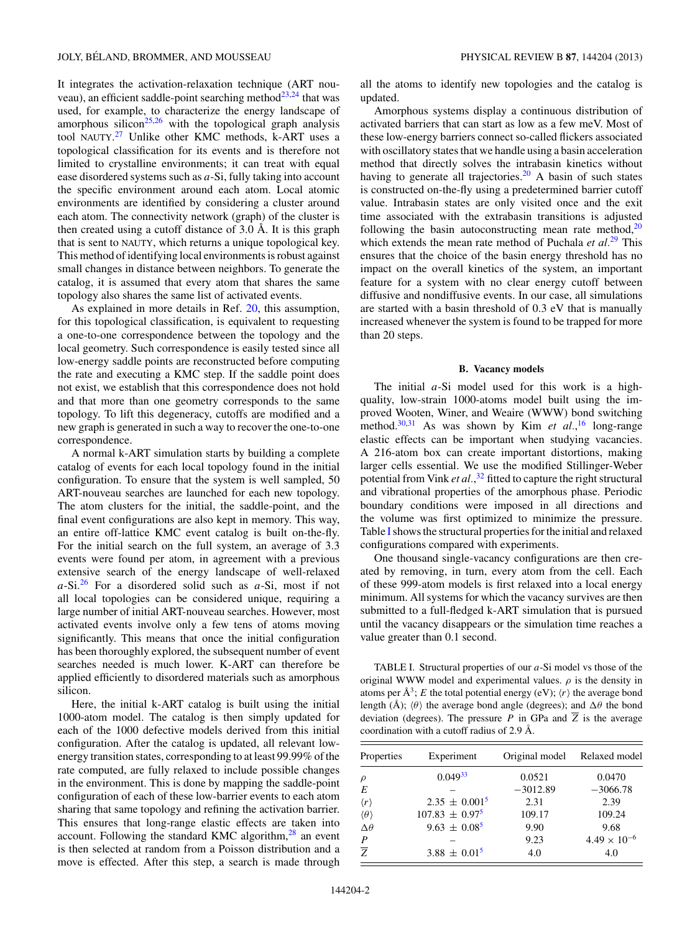It integrates the activation-relaxation technique (ART nouveau), an efficient saddle-point searching method $^{23,24}$  that was used, for example, to characterize the energy landscape of amorphous silicon $^{25,26}$  with the topological graph analysis tool NAUTY.<sup>[27](#page-5-0)</sup> Unlike other KMC methods, k-ART uses a topological classification for its events and is therefore not limited to crystalline environments; it can treat with equal ease disordered systems such as *a*-Si, fully taking into account the specific environment around each atom. Local atomic environments are identified by considering a cluster around each atom. The connectivity network (graph) of the cluster is then created using a cutoff distance of  $3.0 \text{ Å}$ . It is this graph that is sent to NAUTY, which returns a unique topological key. This method of identifying local environments is robust against small changes in distance between neighbors. To generate the catalog, it is assumed that every atom that shares the same topology also shares the same list of activated events.

As explained in more details in Ref. [20,](#page-5-0) this assumption, for this topological classification, is equivalent to requesting a one-to-one correspondence between the topology and the local geometry. Such correspondence is easily tested since all low-energy saddle points are reconstructed before computing the rate and executing a KMC step. If the saddle point does not exist, we establish that this correspondence does not hold and that more than one geometry corresponds to the same topology. To lift this degeneracy, cutoffs are modified and a new graph is generated in such a way to recover the one-to-one correspondence.

A normal k-ART simulation starts by building a complete catalog of events for each local topology found in the initial configuration. To ensure that the system is well sampled, 50 ART-nouveau searches are launched for each new topology. The atom clusters for the initial, the saddle-point, and the final event configurations are also kept in memory. This way, an entire off-lattice KMC event catalog is built on-the-fly. For the initial search on the full system, an average of 3.3 events were found per atom, in agreement with a previous extensive search of the energy landscape of well-relaxed *a*-Si.[26](#page-5-0) For a disordered solid such as *a*-Si, most if not all local topologies can be considered unique, requiring a large number of initial ART-nouveau searches. However, most activated events involve only a few tens of atoms moving significantly. This means that once the initial configuration has been thoroughly explored, the subsequent number of event searches needed is much lower. K-ART can therefore be applied efficiently to disordered materials such as amorphous silicon.

Here, the initial k-ART catalog is built using the initial 1000-atom model. The catalog is then simply updated for each of the 1000 defective models derived from this initial configuration. After the catalog is updated, all relevant lowenergy transition states, corresponding to at least 99.99% of the rate computed, are fully relaxed to include possible changes in the environment. This is done by mapping the saddle-point configuration of each of these low-barrier events to each atom sharing that same topology and refining the activation barrier. This ensures that long-range elastic effects are taken into account. Following the standard KMC algorithm, $^{28}$  $^{28}$  $^{28}$  an event is then selected at random from a Poisson distribution and a move is effected. After this step, a search is made through all the atoms to identify new topologies and the catalog is updated.

Amorphous systems display a continuous distribution of activated barriers that can start as low as a few meV. Most of these low-energy barriers connect so-called flickers associated with oscillatory states that we handle using a basin acceleration method that directly solves the intrabasin kinetics without having to generate all trajectories.<sup>[20](#page-5-0)</sup> A basin of such states is constructed on-the-fly using a predetermined barrier cutoff value. Intrabasin states are only visited once and the exit time associated with the extrabasin transitions is adjusted following the basin autoconstructing mean rate method, $20$ which extends the mean rate method of Puchala *et al.*<sup>[29](#page-5-0)</sup> This ensures that the choice of the basin energy threshold has no impact on the overall kinetics of the system, an important feature for a system with no clear energy cutoff between diffusive and nondiffusive events. In our case, all simulations are started with a basin threshold of 0.3 eV that is manually increased whenever the system is found to be trapped for more than 20 steps.

## **B. Vacancy models**

The initial *a*-Si model used for this work is a highquality, low-strain 1000-atoms model built using the improved Wooten, Winer, and Weaire (WWW) bond switching method.[30,31](#page-5-0) As was shown by Kim *et al.*, [16](#page-5-0) long-range elastic effects can be important when studying vacancies. A 216-atom box can create important distortions, making larger cells essential. We use the modified Stillinger-Weber potential from Vink *et al.*, [32](#page-5-0) fitted to capture the right structural and vibrational properties of the amorphous phase. Periodic boundary conditions were imposed in all directions and the volume was first optimized to minimize the pressure. Table I shows the structural properties for the initial and relaxed configurations compared with experiments.

One thousand single-vacancy configurations are then created by removing, in turn, every atom from the cell. Each of these 999-atom models is first relaxed into a local energy minimum. All systems for which the vacancy survives are then submitted to a full-fledged k-ART simulation that is pursued until the vacancy disappears or the simulation time reaches a value greater than 0.1 second.

TABLE I. Structural properties of our *a*-Si model vs those of the original WWW model and experimental values.  $\rho$  is the density in atoms per  $\mathring{A}^3$ ; *E* the total potential energy (eV);  $\langle r \rangle$  the average bond length (Å);  $\langle \theta \rangle$  the average bond angle (degrees); and  $\Delta \theta$  the bond deviation (degrees). The pressure *P* in GPa and  $\overline{Z}$  is the average coordination with a cutoff radius of 2.9 Å.

| Properties               | Experiment         | Original model | Relaxed model         |
|--------------------------|--------------------|----------------|-----------------------|
| $\rho$                   | $0.049^{33}$       | 0.0521         | 0.0470                |
| E                        |                    | $-3012.89$     | $-3066.78$            |
| $\langle r \rangle$      | $2.35 \pm 0.001^5$ | 2.31           | 2.39                  |
| $\langle \theta \rangle$ | $107.83 \pm 0.975$ | 109.17         | 109.24                |
| $\Delta\theta$           | $9.63 \pm 0.08^5$  | 9.90           | 9.68                  |
| $\boldsymbol{P}$         |                    | 9.23           | $4.49 \times 10^{-6}$ |
| $\overline{z}$           | $3.88 \pm 0.01^5$  | 4.0            | 4.0                   |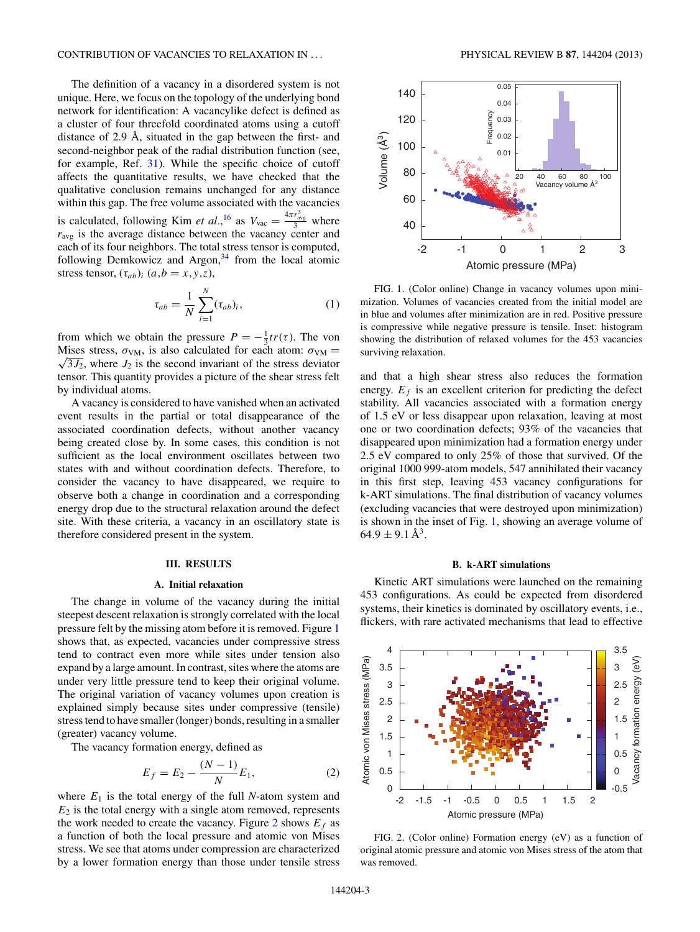## CONTRIBUTION OF VACANCIES TO RELAXATION IN *...* PHYSICAL REVIEW B **87**, 144204 (2013)

The definition of a vacancy in a disordered system is not unique. Here, we focus on the topology of the underlying bond network for identification: A vacancylike defect is defined as a cluster of four threefold coordinated atoms using a cutoff distance of 2.9 Å, situated in the gap between the first- and second-neighbor peak of the radial distribution function (see, for example, Ref. [31\)](#page-5-0). While the specific choice of cutoff affects the quantitative results, we have checked that the qualitative conclusion remains unchanged for any distance within this gap. The free volume associated with the vacancies is calculated, following Kim *et al.*,<sup>[16](#page-5-0)</sup> as  $V_{\text{vac}} = \frac{4\pi r_{\text{avg}}^3}{3}$  where *r*avg is the average distance between the vacancy center and each of its four neighbors. The total stress tensor is computed, following Demkowicz and Argon, $34$  from the local atomic stress tensor,  $(\tau_{ab})_i$   $(a,b = x, y, z)$ ,

$$
\tau_{ab} = \frac{1}{N} \sum_{i=1}^{N} (\tau_{ab})_i, \qquad (1)
$$

from which we obtain the pressure  $P = -\frac{1}{3}tr(\tau)$ . The von Mises stress,  $\sigma_{VM}$ , is also calculated for each atom:  $\sigma_{VM} = \sqrt{3L}$  where L<sub>2</sub> is the second invariant of the stress deviator  $\sqrt{3J_2}$ , where  $J_2$  is the second invariant of the stress deviator tensor. This quantity provides a picture of the shear stress felt by individual atoms.

A vacancy is considered to have vanished when an activated event results in the partial or total disappearance of the associated coordination defects, without another vacancy being created close by. In some cases, this condition is not sufficient as the local environment oscillates between two states with and without coordination defects. Therefore, to consider the vacancy to have disappeared, we require to observe both a change in coordination and a corresponding energy drop due to the structural relaxation around the defect site. With these criteria, a vacancy in an oscillatory state is therefore considered present in the system.

## **III. RESULTS**

#### **A. Initial relaxation**

The change in volume of the vacancy during the initial steepest descent relaxation is strongly correlated with the local pressure felt by the missing atom before it is removed. Figure 1 shows that, as expected, vacancies under compressive stress tend to contract even more while sites under tension also expand by a large amount. In contrast, sites where the atoms are under very little pressure tend to keep their original volume. The original variation of vacancy volumes upon creation is explained simply because sites under compressive (tensile) stress tend to have smaller (longer) bonds, resulting in a smaller (greater) vacancy volume.

The vacancy formation energy, defined as

$$
E_f = E_2 - \frac{(N-1)}{N} E_1,\tag{2}
$$

where  $E_1$  is the total energy of the full *N*-atom system and  $E_2$  is the total energy with a single atom removed, represents the work needed to create the vacancy. Figure 2 shows  $E_f$  as a function of both the local pressure and atomic von Mises stress. We see that atoms under compression are characterized by a lower formation energy than those under tensile stress



FIG. 1. (Color online) Change in vacancy volumes upon minimization. Volumes of vacancies created from the initial model are in blue and volumes after minimization are in red. Positive pressure is compressive while negative pressure is tensile. Inset: histogram showing the distribution of relaxed volumes for the 453 vacancies surviving relaxation.

and that a high shear stress also reduces the formation energy.  $E_f$  is an excellent criterion for predicting the defect stability. All vacancies associated with a formation energy of 1.5 eV or less disappear upon relaxation, leaving at most one or two coordination defects; 93% of the vacancies that disappeared upon minimization had a formation energy under 2.5 eV compared to only 25% of those that survived. Of the original 1000 999-atom models, 547 annihilated their vacancy in this first step, leaving 453 vacancy configurations for k-ART simulations. The final distribution of vacancy volumes (excluding vacancies that were destroyed upon minimization) is shown in the inset of Fig. 1, showing an average volume of  $64.9 \pm 9.1 \text{ Å}^3$ .

#### **B. k-ART simulations**

Kinetic ART simulations were launched on the remaining 453 configurations. As could be expected from disordered systems, their kinetics is dominated by oscillatory events, i.e., flickers, with rare activated mechanisms that lead to effective



FIG. 2. (Color online) Formation energy (eV) as a function of original atomic pressure and atomic von Mises stress of the atom that was removed.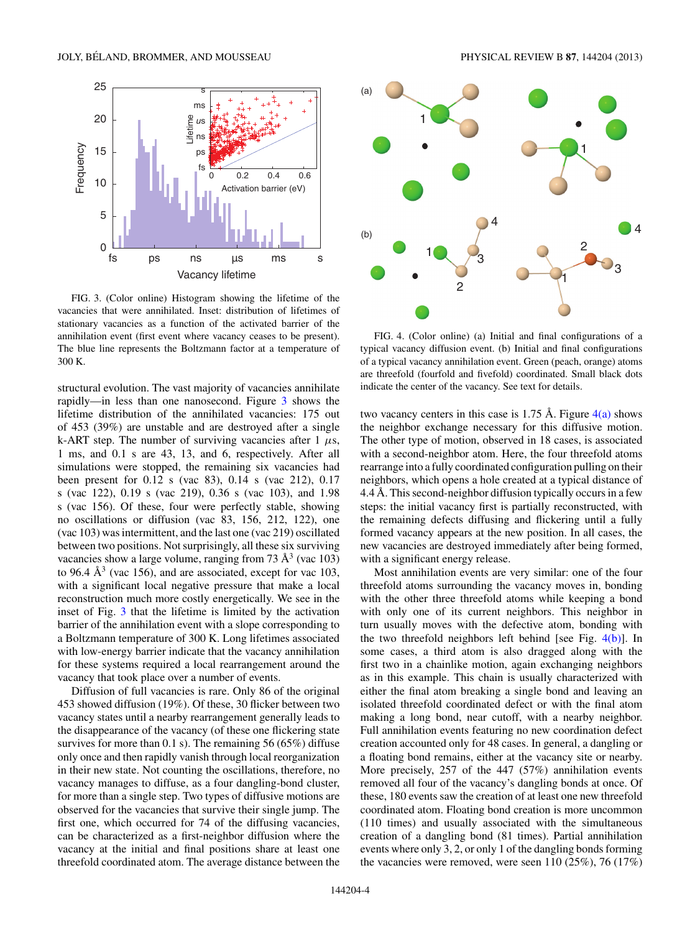

FIG. 3. (Color online) Histogram showing the lifetime of the vacancies that were annihilated. Inset: distribution of lifetimes of stationary vacancies as a function of the activated barrier of the annihilation event (first event where vacancy ceases to be present). The blue line represents the Boltzmann factor at a temperature of 300 K.

structural evolution. The vast majority of vacancies annihilate rapidly—in less than one nanosecond. Figure 3 shows the lifetime distribution of the annihilated vacancies: 175 out of 453 (39%) are unstable and are destroyed after a single k-ART step. The number of surviving vacancies after 1 *μ*s, 1 ms, and 0.1 s are 43, 13, and 6, respectively. After all simulations were stopped, the remaining six vacancies had been present for 0.12 s (vac 83), 0.14 s (vac 212), 0.17 s (vac 122), 0.19 s (vac 219), 0.36 s (vac 103), and 1.98 s (vac 156). Of these, four were perfectly stable, showing no oscillations or diffusion (vac 83, 156, 212, 122), one (vac 103) was intermittent, and the last one (vac 219) oscillated between two positions. Not surprisingly, all these six surviving vacancies show a large volume, ranging from 73  $\AA^3$  (vac 103) to 96.4  $\AA^3$  (vac 156), and are associated, except for vac 103, with a significant local negative pressure that make a local reconstruction much more costly energetically. We see in the inset of Fig. 3 that the lifetime is limited by the activation barrier of the annihilation event with a slope corresponding to a Boltzmann temperature of 300 K. Long lifetimes associated with low-energy barrier indicate that the vacancy annihilation for these systems required a local rearrangement around the vacancy that took place over a number of events.

Diffusion of full vacancies is rare. Only 86 of the original 453 showed diffusion (19%). Of these, 30 flicker between two vacancy states until a nearby rearrangement generally leads to the disappearance of the vacancy (of these one flickering state survives for more than 0.1 s). The remaining 56 (65%) diffuse only once and then rapidly vanish through local reorganization in their new state. Not counting the oscillations, therefore, no vacancy manages to diffuse, as a four dangling-bond cluster, for more than a single step. Two types of diffusive motions are observed for the vacancies that survive their single jump. The first one, which occurred for 74 of the diffusing vacancies, can be characterized as a first-neighbor diffusion where the vacancy at the initial and final positions share at least one threefold coordinated atom. The average distance between the



FIG. 4. (Color online) (a) Initial and final configurations of a typical vacancy diffusion event. (b) Initial and final configurations of a typical vacancy annihilation event. Green (peach, orange) atoms are threefold (fourfold and fivefold) coordinated. Small black dots indicate the center of the vacancy. See text for details.

two vacancy centers in this case is 1.75 Å. Figure  $4(a)$  shows the neighbor exchange necessary for this diffusive motion. The other type of motion, observed in 18 cases, is associated with a second-neighbor atom. Here, the four threefold atoms rearrange into a fully coordinated configuration pulling on their neighbors, which opens a hole created at a typical distance of 4.4 Å. This second-neighbor diffusion typically occurs in a few steps: the initial vacancy first is partially reconstructed, with the remaining defects diffusing and flickering until a fully formed vacancy appears at the new position. In all cases, the new vacancies are destroyed immediately after being formed, with a significant energy release.

Most annihilation events are very similar: one of the four threefold atoms surrounding the vacancy moves in, bonding with the other three threefold atoms while keeping a bond with only one of its current neighbors. This neighbor in turn usually moves with the defective atom, bonding with the two threefold neighbors left behind [see Fig.  $4(b)$ ]. In some cases, a third atom is also dragged along with the first two in a chainlike motion, again exchanging neighbors as in this example. This chain is usually characterized with either the final atom breaking a single bond and leaving an isolated threefold coordinated defect or with the final atom making a long bond, near cutoff, with a nearby neighbor. Full annihilation events featuring no new coordination defect creation accounted only for 48 cases. In general, a dangling or a floating bond remains, either at the vacancy site or nearby. More precisely, 257 of the 447 (57%) annihilation events removed all four of the vacancy's dangling bonds at once. Of these, 180 events saw the creation of at least one new threefold coordinated atom. Floating bond creation is more uncommon (110 times) and usually associated with the simultaneous creation of a dangling bond (81 times). Partial annihilation events where only 3, 2, or only 1 of the dangling bonds forming the vacancies were removed, were seen 110 (25%), 76 (17%)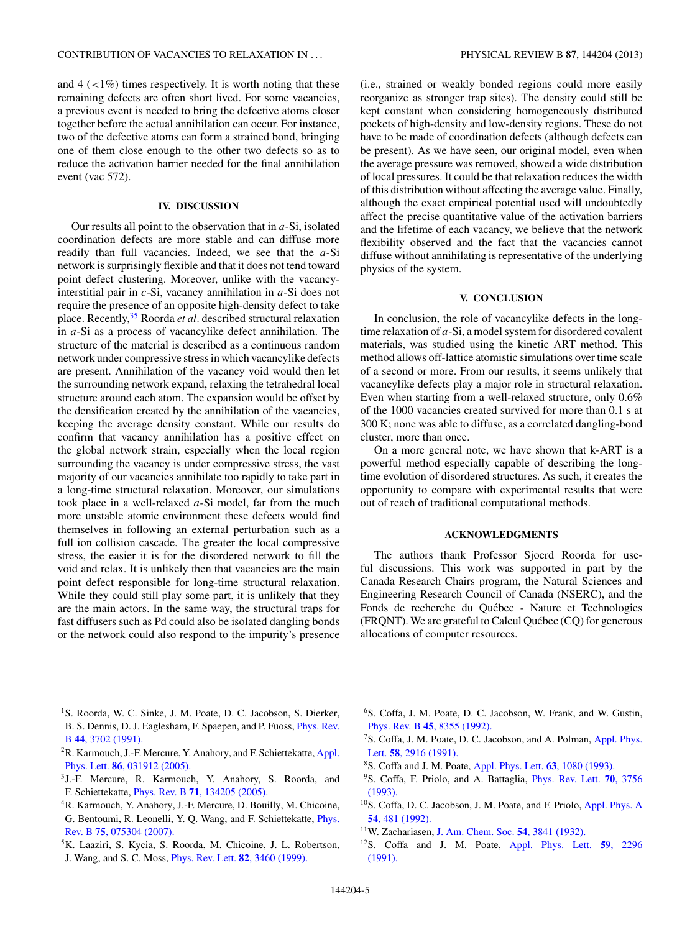<span id="page-4-0"></span>and 4 (*<*1%) times respectively. It is worth noting that these remaining defects are often short lived. For some vacancies, a previous event is needed to bring the defective atoms closer together before the actual annihilation can occur. For instance, two of the defective atoms can form a strained bond, bringing one of them close enough to the other two defects so as to reduce the activation barrier needed for the final annihilation event (vac 572).

## **IV. DISCUSSION**

Our results all point to the observation that in *a*-Si, isolated coordination defects are more stable and can diffuse more readily than full vacancies. Indeed, we see that the *a*-Si network is surprisingly flexible and that it does not tend toward point defect clustering. Moreover, unlike with the vacancyinterstitial pair in *c*-Si, vacancy annihilation in *a*-Si does not require the presence of an opposite high-density defect to take place. Recently[,35](#page-5-0) Roorda *et al.* described structural relaxation in *a*-Si as a process of vacancylike defect annihilation. The structure of the material is described as a continuous random network under compressive stress in which vacancylike defects are present. Annihilation of the vacancy void would then let the surrounding network expand, relaxing the tetrahedral local structure around each atom. The expansion would be offset by the densification created by the annihilation of the vacancies, keeping the average density constant. While our results do confirm that vacancy annihilation has a positive effect on the global network strain, especially when the local region surrounding the vacancy is under compressive stress, the vast majority of our vacancies annihilate too rapidly to take part in a long-time structural relaxation. Moreover, our simulations took place in a well-relaxed *a*-Si model, far from the much more unstable atomic environment these defects would find themselves in following an external perturbation such as a full ion collision cascade. The greater the local compressive stress, the easier it is for the disordered network to fill the void and relax. It is unlikely then that vacancies are the main point defect responsible for long-time structural relaxation. While they could still play some part, it is unlikely that they are the main actors. In the same way, the structural traps for fast diffusers such as Pd could also be isolated dangling bonds or the network could also respond to the impurity's presence (i.e., strained or weakly bonded regions could more easily reorganize as stronger trap sites). The density could still be kept constant when considering homogeneously distributed pockets of high-density and low-density regions. These do not have to be made of coordination defects (although defects can be present). As we have seen, our original model, even when the average pressure was removed, showed a wide distribution of local pressures. It could be that relaxation reduces the width of this distribution without affecting the average value. Finally, although the exact empirical potential used will undoubtedly affect the precise quantitative value of the activation barriers and the lifetime of each vacancy, we believe that the network flexibility observed and the fact that the vacancies cannot diffuse without annihilating is representative of the underlying physics of the system.

## **V. CONCLUSION**

In conclusion, the role of vacancylike defects in the longtime relaxation of *a*-Si, a model system for disordered covalent materials, was studied using the kinetic ART method. This method allows off-lattice atomistic simulations over time scale of a second or more. From our results, it seems unlikely that vacancylike defects play a major role in structural relaxation. Even when starting from a well-relaxed structure, only 0.6% of the 1000 vacancies created survived for more than 0.1 s at 300 K; none was able to diffuse, as a correlated dangling-bond cluster, more than once.

On a more general note, we have shown that k-ART is a powerful method especially capable of describing the longtime evolution of disordered structures. As such, it creates the opportunity to compare with experimental results that were out of reach of traditional computational methods.

# **ACKNOWLEDGMENTS**

The authors thank Professor Sjoerd Roorda for useful discussions. This work was supported in part by the Canada Research Chairs program, the Natural Sciences and Engineering Research Council of Canada (NSERC), and the Fonds de recherche du Québec - Nature et Technologies (FRQNT). We are grateful to Calcul Québec (CQ) for generous allocations of computer resources.

- <sup>1</sup>S. Roorda, W. C. Sinke, J. M. Poate, D. C. Jacobson, S. Dierker, B. S. Dennis, D. J. Eaglesham, F. Spaepen, and P. Fuoss, [Phys. Rev.](http://dx.doi.org/10.1103/PhysRevB.44.3702) B **44**[, 3702 \(1991\).](http://dx.doi.org/10.1103/PhysRevB.44.3702)
- <sup>2</sup>R. Karmouch, J.-F. Mercure, Y. Anahory, and F. Schiettekatte, [Appl.](http://dx.doi.org/10.1063/1.1852733) Phys. Lett. **86**[, 031912 \(2005\).](http://dx.doi.org/10.1063/1.1852733)
- 3J.-F. Mercure, R. Karmouch, Y. Anahory, S. Roorda, and F. Schiettekatte, Phys. Rev. B **71**[, 134205 \(2005\).](http://dx.doi.org/10.1103/PhysRevB.71.134205)
- 4R. Karmouch, Y. Anahory, J.-F. Mercure, D. Bouilly, M. Chicoine, G. Bentoumi, R. Leonelli, Y. Q. Wang, and F. Schiettekatte, [Phys.](http://dx.doi.org/10.1103/PhysRevB.75.075304) Rev. B **75**[, 075304 \(2007\).](http://dx.doi.org/10.1103/PhysRevB.75.075304)
- 5K. Laaziri, S. Kycia, S. Roorda, M. Chicoine, J. L. Robertson, J. Wang, and S. C. Moss, [Phys. Rev. Lett.](http://dx.doi.org/10.1103/PhysRevLett.82.3460) **82**, 3460 (1999).
- 6S. Coffa, J. M. Poate, D. C. Jacobson, W. Frank, and W. Gustin, Phys. Rev. B **45**[, 8355 \(1992\).](http://dx.doi.org/10.1103/PhysRevB.45.8355)
- <sup>7</sup>S. Coffa, J. M. Poate, D. C. Jacobson, and A. Polman, [Appl. Phys.](http://dx.doi.org/10.1063/1.104721) Lett. **58**[, 2916 \(1991\).](http://dx.doi.org/10.1063/1.104721)
- 8S. Coffa and J. M. Poate, [Appl. Phys. Lett.](http://dx.doi.org/10.1063/1.109839) **63**, 1080 (1993).
- 9S. Coffa, F. Priolo, and A. Battaglia, [Phys. Rev. Lett.](http://dx.doi.org/10.1103/PhysRevLett.70.3756) **70**, 3756 [\(1993\).](http://dx.doi.org/10.1103/PhysRevLett.70.3756)
- <sup>10</sup>S. Coffa, D. C. Jacobson, J. M. Poate, and F. Priolo, [Appl. Phys. A](http://dx.doi.org/10.1007/BF00324324) **54**[, 481 \(1992\).](http://dx.doi.org/10.1007/BF00324324)
- 11W. Zachariasen, [J. Am. Chem. Soc.](http://dx.doi.org/10.1021/ja01349a006) **54**, 3841 (1932).
- 12S. Coffa and J. M. Poate, [Appl. Phys. Lett.](http://dx.doi.org/10.1063/1.106048) **59**, 2296 [\(1991\).](http://dx.doi.org/10.1063/1.106048)